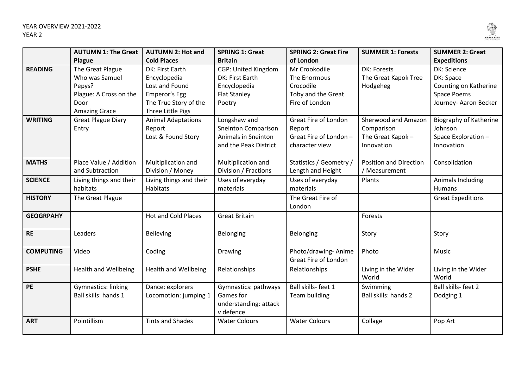

|                  | <b>AUTUMN 1: The Great</b>  | <b>AUTUMN 2: Hot and</b>    | <b>SPRING 1: Great</b>     | <b>SPRING 2: Great Fire</b> | <b>SUMMER 1: Forests</b>      | <b>SUMMER 2: Great</b>   |
|------------------|-----------------------------|-----------------------------|----------------------------|-----------------------------|-------------------------------|--------------------------|
|                  | Plague                      | <b>Cold Places</b>          | <b>Britain</b>             | of London                   |                               | <b>Expeditions</b>       |
| <b>READING</b>   | The Great Plague            | DK: First Earth             | <b>CGP: United Kingdom</b> | Mr Crookodile               | DK: Forests                   | DK: Science              |
|                  | Who was Samuel              | Encyclopedia                | DK: First Earth            | The Enormous                | The Great Kapok Tree          | DK: Space                |
|                  | Pepys?                      | Lost and Found              | Encyclopedia               | Crocodile                   | Hodgeheg                      | Counting on Katherine    |
|                  | Plague: A Cross on the      | Emperor's Egg               | <b>Flat Stanley</b>        | Toby and the Great          |                               | <b>Space Poems</b>       |
|                  | Door                        | The True Story of the       | Poetry                     | Fire of London              |                               | Journey- Aaron Becker    |
|                  | <b>Amazing Grace</b>        | Three Little Pigs           |                            |                             |                               |                          |
| <b>WRITING</b>   | <b>Great Plague Diary</b>   | <b>Animal Adaptations</b>   | Longshaw and               | Great Fire of London        | Sherwood and Amazon           | Biography of Katherine   |
|                  | Entry                       | Report                      | <b>Sneinton Comparison</b> | Report                      | Comparison                    | Johnson                  |
|                  |                             | Lost & Found Story          | Animals in Sneinton        | Great Fire of London -      | The Great Kapok -             | Space Exploration -      |
|                  |                             |                             | and the Peak District      | character view              | Innovation                    | Innovation               |
|                  |                             |                             |                            |                             |                               |                          |
| <b>MATHS</b>     | Place Value / Addition      | Multiplication and          | Multiplication and         | Statistics / Geometry /     | <b>Position and Direction</b> | Consolidation            |
|                  | and Subtraction             | Division / Money            | Division / Fractions       | Length and Height           | / Measurement                 |                          |
| <b>SCIENCE</b>   | Living things and their     | Living things and their     | Uses of everyday           | Uses of everyday            | Plants                        | Animals Including        |
|                  | habitats                    | Habitats                    | materials                  | materials                   |                               | Humans                   |
| <b>HISTORY</b>   | The Great Plague            |                             |                            | The Great Fire of           |                               | <b>Great Expeditions</b> |
|                  |                             |                             |                            | London                      |                               |                          |
| <b>GEOGRPAHY</b> |                             | Hot and Cold Places         | <b>Great Britain</b>       |                             | Forests                       |                          |
|                  |                             |                             |                            |                             |                               |                          |
| <b>RE</b>        | Leaders                     | Believing                   | Belonging                  | Belonging                   | Story                         | Story                    |
|                  |                             |                             |                            |                             |                               |                          |
| <b>COMPUTING</b> | Video                       | Coding                      | Drawing                    | Photo/drawing-Anime         | Photo                         | Music                    |
|                  |                             |                             |                            | Great Fire of London        |                               |                          |
| <b>PSHE</b>      | <b>Health and Wellbeing</b> | <b>Health and Wellbeing</b> | Relationships              | Relationships               | Living in the Wider           | Living in the Wider      |
|                  |                             |                             |                            |                             | World                         | World                    |
| <b>PE</b>        | Gymnastics: linking         | Dance: explorers            | Gymnastics: pathways       | Ball skills- feet 1         | Swimming                      | Ball skills-feet 2       |
|                  | Ball skills: hands 1        | Locomotion: jumping 1       | Games for                  | Team building               | Ball skills: hands 2          | Dodging 1                |
|                  |                             |                             | understanding: attack      |                             |                               |                          |
|                  |                             |                             | v defence                  |                             |                               |                          |
| <b>ART</b>       | Pointillism                 | <b>Tints and Shades</b>     | <b>Water Colours</b>       | <b>Water Colours</b>        | Collage                       | Pop Art                  |
|                  |                             |                             |                            |                             |                               |                          |